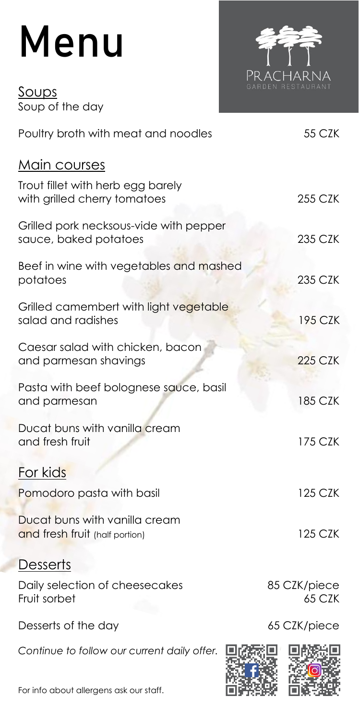## Menu

<u>Soups</u> Soup of the day



| Poultry broth with meat and noodles                               | 55 CZK                 |
|-------------------------------------------------------------------|------------------------|
| <u>Main courses</u>                                               |                        |
| Trout fillet with herb egg barely<br>with grilled cherry tomatoes | 255 CZK                |
| Grilled pork necksous-vide with pepper<br>sauce, baked potatoes   | 235 CZK                |
| Beef in wine with vegetables and mashed<br>potatoes               | 235 CZK                |
| Grilled camembert with light vegetable<br>salad and radishes      | 195 CZK                |
| Caesar salad with chicken, bacon<br>and parmesan shavings         | <b>225 CZK</b>         |
| Pasta with beef bolognese sauce, basil<br>and parmesan            | 185 CZK                |
| Ducat buns with vanilla cream<br>and fresh fruit                  | 175 CZK                |
| For kids                                                          |                        |
| Pomodoro pasta with basil                                         | 125 CZK                |
| Ducat buns with vanilla cream<br>and fresh fruit (half portion)   | 125 CZK                |
| <u>Desserts</u>                                                   |                        |
| Daily selection of cheesecakes<br>Fruit sorbet                    | 85 CZK/piece<br>65 CZK |
| Desserts of the day                                               | 65 CZK/piece           |
| Continue to follow our current daily offer.                       |                        |
| For info about allergens ask our staff.                           |                        |